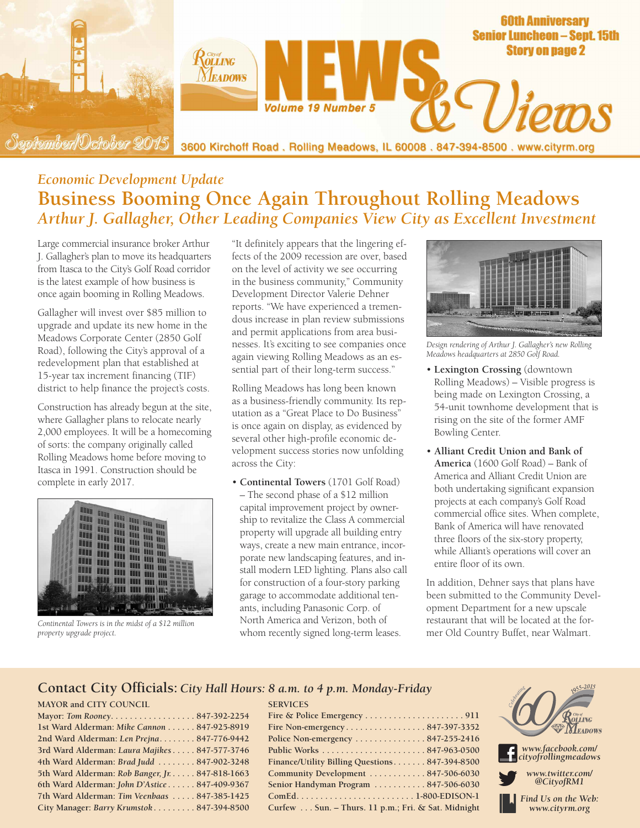

## *Economic Development Update* **Business Booming Once Again Throughout Rolling Meadows** *Arthur J. Gallagher, Other Leading Companies View City as Excellent Investment*

Large commercial insurance broker Arthur J. Gallagher's plan to move its headquarters from Itasca to the City's Golf Road corridor is the latest example of how business is once again booming in Rolling Meadows.

Gallagher will invest over \$85 million to upgrade and update its new home in the Meadows Corporate Center (2850 Golf Road), following the City's approval of a redevelopment plan that established at 15-year tax increment financing (TIF) district to help finance the project's costs.

Construction has already begun at the site, where Gallagher plans to relocate nearly 2,000 employees. It will be a homecoming of sorts: the company originally called Rolling Meadows home before moving to Itasca in 1991. Construction should be complete in early 2017.



*Continental Towers is in the midst of a \$12 million property upgrade project.*

"It definitely appears that the lingering effects of the 2009 recession are over, based on the level of activity we see occurring in the business community," Community Development Director Valerie Dehner reports. "We have experienced a tremendous increase in plan review submissions and permit applications from area businesses. It's exciting to see companies once again viewing Rolling Meadows as an essential part of their long-term success."

Rolling Meadows has long been known as a business-friendly community. Its reputation as a "Great Place to Do Business" is once again on display, as evidenced by several other high-profile economic development success stories now unfolding across the City:

• **Continental Towers** (1701 Golf Road) – The second phase of a \$12 million capital improvement project by ownership to revitalize the Class A commercial property will upgrade all building entry ways, create a new main entrance, incorporate new landscaping features, and install modern LED lighting. Plans also call for construction of a four-story parking garage to accommodate additional tenants, including Panasonic Corp. of North America and Verizon, both of whom recently signed long-term leases.



*Design rendering of Arthur J. Gallagher's new Rolling Meadows headquarters at 2850 Golf Road.*

- **Lexington Crossing** (downtown Rolling Meadows) – Visible progress is being made on Lexington Crossing, a 54-unit townhome development that is rising on the site of the former AMF Bowling Center.
- **Alliant Credit Union and Bank of America** (1600 Golf Road) – Bank of America and Alliant Credit Union are both undertaking significant expansion projects at each company's Golf Road commercial office sites. When complete, Bank of America will have renovated three floors of the six-story property, while Alliant's operations will cover an entire floor of its own.

In addition, Dehner says that plans have been submitted to the Community Development Department for a new upscale restaurant that will be located at the former Old Country Buffet, near Walmart.

#### **Contact City Officials:** *City Hall Hours: 8 a.m. to 4 p.m. Monday-Friday*

**SERVICES**

#### **MAYOR and CITY COUNCIL**

| Mayor: Tom Rooney847-392-2254                   |  |
|-------------------------------------------------|--|
| 1st Ward Alderman: Mike Cannon 847-925-8919     |  |
| 2nd Ward Alderman: Len Prejna 847-776-9442      |  |
| 3rd Ward Alderman: Laura Majikes 847-577-3746   |  |
| 4th Ward Alderman: Brad Judd 847-902-3248       |  |
| 5th Ward Alderman: Rob Banger, Jr. 847-818-1663 |  |
| 6th Ward Alderman: John D'Astice 847-409-9367   |  |
| 7th Ward Alderman: Tim Veenbaas  847-385-1425   |  |
| City Manager: Barry Krumstok 847-394-8500       |  |

| Police Non-emergency $\dots\dots\dots\dots 847-255-2416$ |
|----------------------------------------------------------|
|                                                          |
| Finance/Utility Billing Questions847-394-8500            |
| Community Development  847-506-6030                      |
| Senior Handyman Program 847-506-6030                     |
|                                                          |
| Curfew Sun. - Thurs. 11 p.m.; Fri. & Sat. Midnight       |

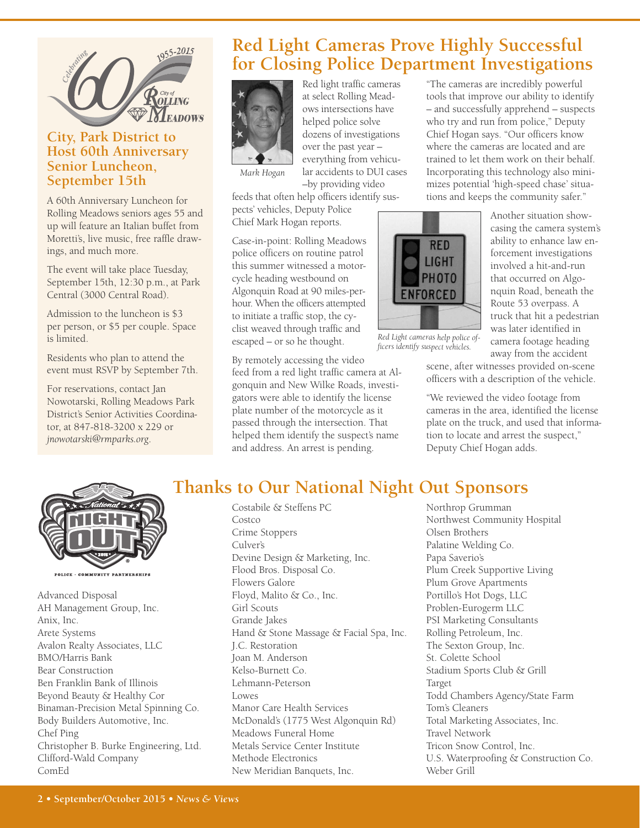

## **City, Park District to Host 60th Anniversary Senior Luncheon, September 15th**

A 60th Anniversary Luncheon for Rolling Meadows seniors ages 55 and up will feature an Italian buffet from Moretti's, live music, free raffle drawings, and much more.

The event will take place Tuesday, September 15th, 12:30 p.m., at Park Central (3000 Central Road).

Admission to the luncheon is \$3 per person, or \$5 per couple. Space is limited.

Residents who plan to attend the event must RSVP by September 7th.

For reservations, contact Jan Nowotarski, Rolling Meadows Park District's Senior Activities Coordinator, at 847-818-3200 x 229 or *jnowotarski@rmparks.org*.

## **Red Light Cameras Prove Highly Successful for Closing Police Department Investigations**



Red light traffic cameras at select Rolling Meadows intersections have helped police solve dozens of investigations over the past year – everything from vehicular accidents to DUI cases –by providing video

*Mark Hogan*

feeds that often help officers identify suspects' vehicles, Deputy Police Chief Mark Hogan reports.

Case-in-point: Rolling Meadows police officers on routine patrol this summer witnessed a motorcycle heading westbound on Algonquin Road at 90 miles-perhour. When the officers attempted to initiate a traffic stop, the cyclist weaved through traffic and escaped – or so he thought.

By remotely accessing the video feed from a red light traffic camera at Algonquin and New Wilke Roads, investigators were able to identify the license plate number of the motorcycle as it passed through the intersection. That helped them identify the suspect's name and address. An arrest is pending.

"The cameras are incredibly powerful tools that improve our ability to identify – and successfully apprehend – suspects who try and run from police," Deputy Chief Hogan says. "Our officers know where the cameras are located and are trained to let them work on their behalf. Incorporating this technology also minimizes potential 'high-speed chase' situations and keeps the community safer."



*Red Light cameras help police officers identify suspec<sup>t</sup> vehicles.*

Another situation showcasing the camera system's ability to enhance law enforcement investigations involved a hit-and-run that occurred on Algonquin Road, beneath the Route 53 overpass. A truck that hit a pedestrian was later identified in camera footage heading away from the accident

scene, after witnesses provided on-scene officers with a description of the vehicle.

"We reviewed the video footage from cameras in the area, identified the license plate on the truck, and used that information to locate and arrest the suspect," Deputy Chief Hogan adds.



POLICE · COMMUNITY PARTNERSHIPS

Advanced Disposal AH Management Group, Inc. Anix, Inc. Arete Systems Avalon Realty Associates, LLC BMO/Harris Bank Bear Construction Ben Franklin Bank of Illinois Beyond Beauty & Healthy Cor Binaman-Precision Metal Spinning Co. Body Builders Automotive, Inc. Chef Ping Christopher B. Burke Engineering, Ltd. Clifford-Wald Company ComEd

# **Thanks to Our National Night Out Sponsors**

Costabile & Steffens PC Costco Crime Stoppers Culver's Devine Design & Marketing, Inc. Flood Bros. Disposal Co. Flowers Galore Floyd, Malito & Co., Inc. Girl Scouts Grande Jakes Hand & Stone Massage & Facial Spa, Inc. J.C. Restoration Joan M. Anderson Kelso-Burnett Co. Lehmann-Peterson Lowes Manor Care Health Services McDonald's (1775 West Algonquin Rd) Meadows Funeral Home Metals Service Center Institute Methode Electronics New Meridian Banquets, Inc.

Northrop Grumman Northwest Community Hospital Olsen Brothers Palatine Welding Co. Papa Saverio's Plum Creek Supportive Living Plum Grove Apartments Portillo's Hot Dogs, LLC Problen-Eurogerm LLC PSI Marketing Consultants Rolling Petroleum, Inc. The Sexton Group, Inc. St. Colette School Stadium Sports Club & Grill Target Todd Chambers Agency/State Farm Tom's Cleaners Total Marketing Associates, Inc. Travel Network Tricon Snow Control, Inc. U.S. Waterproofing & Construction Co. Weber Grill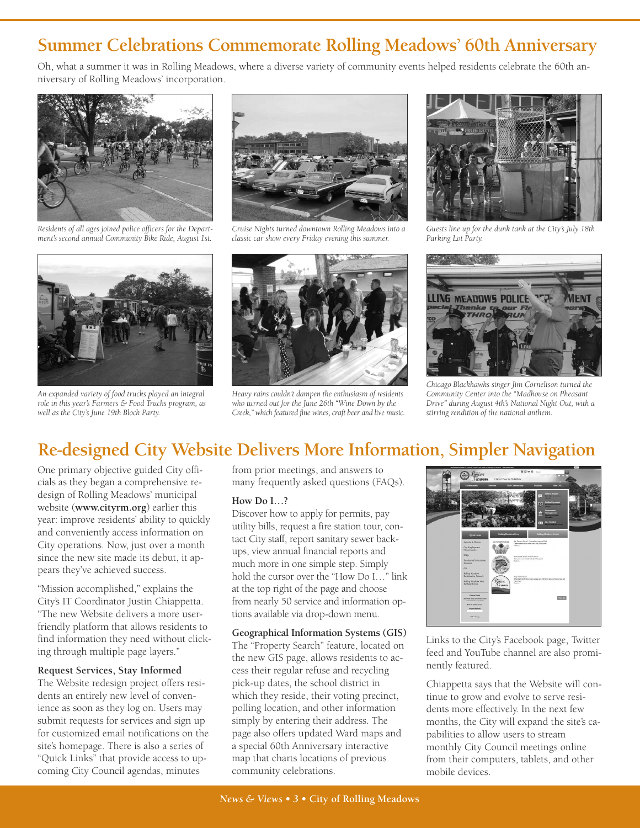## **Summer Celebrations Commemorate Rolling Meadows' 60th Anniversary**

Oh, what a summer it was in Rolling Meadows, where a diverse variety of community events helped residents celebrate the 60th anniversary of Rolling Meadows' incorporation.



*Residents of all ages joined police officers for the Department's second annual Community Bike Ride, August 1st.*



*An expanded variety of food trucks played an integral role in this year's Farmers & Food Trucks program, as well as the City's June 19th Block Party.*



*Cruise Nights turned downtown Rolling Meadows into a classic car show every Friday evening this summer.*



*Heavy rains couldn't dampen the enthusiasm of residents who turned out for the June 26th "Wine Down by the Creek," which featured fine wines, craft beer and live music.*



*Guests line up for the dunk tank at the City's July 18th Parking Lot Party.*



*Chicago Blackhawks singer Jim Cornelison turned the Community Center into the "Madhouse on Pheasant Drive" during August 4th's National Night Out, with a stirring rendition of the national anthem.*

## **Re-designed City Website Delivers More Information, Simpler Navigation**

One primary objective guided City officials as they began a comprehensive redesign of Rolling Meadows' municipal website (**www.cityrm.org**) earlier this year: improve residents' ability to quickly and conveniently access information on City operations. Now, just over a month since the new site made its debut, it appears they've achieved success.

"Mission accomplished," explains the City's IT Coordinator Justin Chiappetta. "The new Website delivers a more userfriendly platform that allows residents to find information they need without clicking through multiple page layers."

#### **Request Services, Stay Informed**

The Website redesign project offers residents an entirely new level of convenience as soon as they log on. Users may submit requests for services and sign up for customized email notifications on the site's homepage. There is also a series of "Quick Links" that provide access to upcoming City Council agendas, minutes

from prior meetings, and answers to many frequently asked questions (FAQs).

#### **How Do I…?**

Discover how to apply for permits, pay utility bills, request a fire station tour, contact City staff, report sanitary sewer backups, view annual financial reports and much more in one simple step. Simply hold the cursor over the "How Do I…" link at the top right of the page and choose from nearly 50 service and information options available via drop-down menu.

#### **Geographical Information Systems (GIS)**

The "Property Search" feature, located on the new GIS page, allows residents to access their regular refuse and recycling pick-up dates, the school district in which they reside, their voting precinct, polling location, and other information simply by entering their address. The page also offers updated Ward maps and a special 60th Anniversary interactive map that charts locations of previous community celebrations.



Links to the City's Facebook page, Twitter feed and YouTube channel are also prominently featured.

Chiappetta says that the Website will continue to grow and evolve to serve residents more effectively. In the next few months, the City will expand the site's capabilities to allow users to stream monthly City Council meetings online from their computers, tablets, and other mobile devices.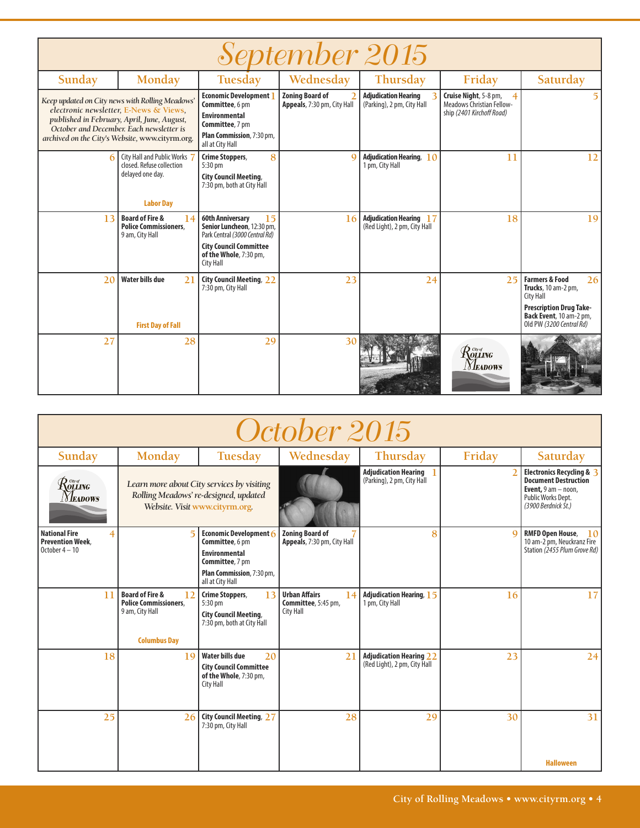| <i>September 2015</i> |                                                                                                                                                                                                                                         |                                                                                                                                                                       |                                                       |                                                                |                                                                                             |                                                                                                                                                                           |  |  |
|-----------------------|-----------------------------------------------------------------------------------------------------------------------------------------------------------------------------------------------------------------------------------------|-----------------------------------------------------------------------------------------------------------------------------------------------------------------------|-------------------------------------------------------|----------------------------------------------------------------|---------------------------------------------------------------------------------------------|---------------------------------------------------------------------------------------------------------------------------------------------------------------------------|--|--|
| Sunday                | Monday                                                                                                                                                                                                                                  | Tuesday                                                                                                                                                               | Wednesday                                             | Thursday                                                       | Friday                                                                                      | Saturday                                                                                                                                                                  |  |  |
|                       | Keep updated on City news with Rolling Meadows'<br>electronic newsletter, E-News & Views,<br>published in February, April, June, August,<br>October and December. Each newsletter is<br>archived on the City's Website, www.cityrm.org. | <b>Economic Development</b><br>Committee, 6 pm<br><b>Environmental</b><br><b>Committee, 7 pm</b><br>Plan Commission, 7:30 pm,<br>all at City Hall                     | <b>Zoning Board of</b><br>Appeals, 7:30 pm, City Hall | <b>Adjudication Hearing</b><br>(Parking), 2 pm, City Hall      | Cruise Night, 5-8 pm,<br>4<br><b>Meadows Christian Fellow-</b><br>ship (2401 Kirchoff Road) |                                                                                                                                                                           |  |  |
|                       | 6 City Hall and Public Works 7<br>closed. Refuse collection<br>delayed one day.<br><b>Labor Day</b>                                                                                                                                     | 8<br>Crime Stoppers,<br>5:30 pm<br><b>City Council Meeting,</b><br>7:30 pm, both at City Hall                                                                         | $\mathbf Q$                                           | <b>Adjudication Hearing, 10</b><br>1 pm, City Hall             | 11                                                                                          | 12                                                                                                                                                                        |  |  |
| 13                    | <b>Board of Fire &amp;</b><br>14<br><b>Police Commissioners.</b><br>9 am, City Hall                                                                                                                                                     | <b>60th Anniversarv</b><br>15<br>Senior Luncheon, 12:30 pm,<br>Park Central (3000 Central Rd)<br><b>City Council Committee</b><br>of the Whole, 7:30 pm,<br>City Hall | 16                                                    | <b>Adjudication Hearing 17</b><br>(Red Light), 2 pm, City Hall | 18                                                                                          | 19                                                                                                                                                                        |  |  |
| 2 <sub>0</sub>        | Water bills due<br>21<br><b>First Day of Fall</b>                                                                                                                                                                                       | <b>City Council Meeting, 22</b><br>7:30 pm, City Hall                                                                                                                 | 23                                                    | 24                                                             | 251                                                                                         | <b>Farmers &amp; Food</b><br>26 <sup>1</sup><br>Trucks, 10 am-2 pm,<br>City Hall<br><b>Prescription Drug Take-</b><br>Back Event, 10 am-2 pm,<br>Old PW (3200 Central Rd) |  |  |
| 27                    | 28                                                                                                                                                                                                                                      | 29                                                                                                                                                                    | 30                                                    |                                                                | Rouing<br><b>Neadows</b>                                                                    |                                                                                                                                                                           |  |  |

| October 2015                                                                                                                                            |                                                                                                                       |                                                                                                                                         |                                                                |                                                                |        |                                                                                                                                         |  |  |
|---------------------------------------------------------------------------------------------------------------------------------------------------------|-----------------------------------------------------------------------------------------------------------------------|-----------------------------------------------------------------------------------------------------------------------------------------|----------------------------------------------------------------|----------------------------------------------------------------|--------|-----------------------------------------------------------------------------------------------------------------------------------------|--|--|
| Sunday                                                                                                                                                  | Monday                                                                                                                | Tuesday                                                                                                                                 | Wednesday                                                      | Thursday                                                       | Friday | Saturday                                                                                                                                |  |  |
| $\mathcal{R}^{\tiny{{\scriptscriptstyle{{G\!\mathit{w}}}{\scriptscriptstyle{{G\!\mathit{w}}}}}}}_{{\scriptscriptstyle{\rm{OLLING}}}}$<br><b>NEADOWS</b> | Learn more about City services by visiting<br>Rolling Meadows' re-designed, updated<br>Website. Visit www.cityrm.org. |                                                                                                                                         |                                                                | <b>Adjudication Hearing</b> 1<br>(Parking), 2 pm, City Hall    |        | Electronics Recycling & 3<br><b>Document Destruction</b><br><b>Event,</b> $9$ am $-$ noon,<br>Public Works Dept.<br>(3900 Berdnick St.) |  |  |
| <b>National Fire</b><br>4<br><b>Prevention Week.</b><br>October $4-10$                                                                                  | 5                                                                                                                     | Economic Development $6$<br>Committee, 6 pm<br><b>Environmental</b><br>Committee, 7 pm<br>Plan Commission, 7:30 pm,<br>all at City Hall | <b>Zoning Board of</b><br>Appeals, 7:30 pm, City Hall          | 8                                                              | a      | <b>RMFD Open House,</b><br>10 <sup>1</sup><br>10 am-2 pm, Neuckranz Fire<br>Station (2455 Plum Grove Rd)                                |  |  |
| 11                                                                                                                                                      | <b>Board of Fire &amp;</b><br>12<br><b>Police Commissioners.</b><br>9 am, City Hall<br><b>Columbus Day</b>            | Crime Stoppers,<br>13<br>5:30 pm<br><b>City Council Meeting,</b><br>7:30 pm, both at City Hall                                          | <b>Urban Affairs</b><br>14<br>Committee, 5:45 pm,<br>City Hall | <b>Adjudication Hearing, 15</b><br>1 pm, City Hall             | 16     | 17                                                                                                                                      |  |  |
| 18                                                                                                                                                      | 19                                                                                                                    | <b>Water bills due</b><br>20<br><b>City Council Committee</b><br>of the Whole, 7:30 pm,<br>City Hall                                    | 21                                                             | <b>Adjudication Hearing 22</b><br>(Red Light), 2 pm, City Hall | 23     | 24                                                                                                                                      |  |  |
| 25                                                                                                                                                      | 26                                                                                                                    | <b>City Council Meeting, 27</b><br>7:30 pm, City Hall                                                                                   | 28                                                             | 29                                                             | 30     | 31                                                                                                                                      |  |  |
|                                                                                                                                                         |                                                                                                                       |                                                                                                                                         |                                                                |                                                                |        | <b>Halloween</b>                                                                                                                        |  |  |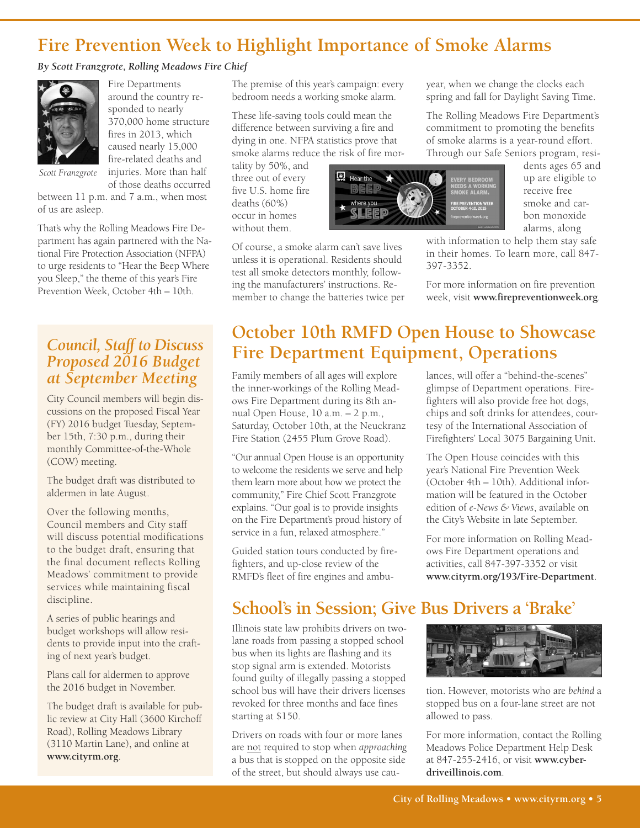## **Fire Prevention Week to Highlight Importance of Smoke Alarms**

#### *By Scott Franzgrote, Rolling Meadows Fire Chief*



Fire Departments around the country responded to nearly 370,000 home structure fires in 2013, which caused nearly 15,000 fire-related deaths and injuries. More than half of those deaths occurred

*Scott Franzgrote*

between 11 p.m. and 7 a.m., when most of us are asleep.

That's why the Rolling Meadows Fire Department has again partnered with the National Fire Protection Association (NFPA) to urge residents to "Hear the Beep Where you Sleep," the theme of this year's Fire Prevention Week, October 4th – 10th.

### *Council, Staff to Discuss Proposed 2016 Budget at September Meeting*

City Council members will begin discussions on the proposed Fiscal Year (FY) 2016 budget Tuesday, September 15th, 7:30 p.m., during their monthly Committee-of-the-Whole (COW) meeting.

The budget draft was distributed to aldermen in late August.

Over the following months, Council members and City staff will discuss potential modifications to the budget draft, ensuring that the final document reflects Rolling Meadows' commitment to provide services while maintaining fiscal discipline.

A series of public hearings and budget workshops will allow residents to provide input into the crafting of next year's budget.

Plans call for aldermen to approve the 2016 budget in November.

The budget draft is available for public review at City Hall (3600 Kirchoff Road), Rolling Meadows Library (3110 Martin Lane), and online at **www.cityrm.org**.

The premise of this year's campaign: every bedroom needs a working smoke alarm.

These life-saving tools could mean the difference between surviving a fire and dying in one. NFPA statistics prove that smoke alarms reduce the risk of fire mor-

tality by 50%, and three out of every five U.S. home fire deaths (60%) occur in homes without them.

Of course, a smoke alarm can't save lives unless it is operational. Residents should test all smoke detectors monthly, following the manufacturers' instructions. Remember to change the batteries twice per year, when we change the clocks each spring and fall for Daylight Saving Time.

The Rolling Meadows Fire Department's commitment to promoting the benefits of smoke alarms is a year-round effort. Through our Safe Seniors program, resi-



dents ages 65 and up are eligible to receive free smoke and carbon monoxide alarms, along

with information to help them stay safe in their homes. To learn more, call 847- 397-3352.

For more information on fire prevention week, visit **www.firepreventionweek.org**.

## **October 10th RMFD Open House to Showcase Fire Department Equipment, Operations**

Family members of all ages will explore the inner-workings of the Rolling Meadows Fire Department during its 8th annual Open House, 10 a.m. – 2 p.m., Saturday, October 10th, at the Neuckranz Fire Station (2455 Plum Grove Road).

"Our annual Open House is an opportunity to welcome the residents we serve and help them learn more about how we protect the community," Fire Chief Scott Franzgrote explains. "Our goal is to provide insights on the Fire Department's proud history of service in a fun, relaxed atmosphere."

Guided station tours conducted by firefighters, and up-close review of the RMFD's fleet of fire engines and ambulances, will offer a "behind-the-scenes" glimpse of Department operations. Firefighters will also provide free hot dogs, chips and soft drinks for attendees, courtesy of the International Association of Firefighters' Local 3075 Bargaining Unit.

The Open House coincides with this year's National Fire Prevention Week (October 4th – 10th). Additional information will be featured in the October edition of *e-News & Views*, available on the City's Website in late September.

For more information on Rolling Meadows Fire Department operations and activities, call 847-397-3352 or visit **www.cityrm.org/193/Fire-Department**.

## **School's in Session; Give Bus Drivers a 'Brake'**

Illinois state law prohibits drivers on twolane roads from passing a stopped school bus when its lights are flashing and its stop signal arm is extended. Motorists found guilty of illegally passing a stopped school bus will have their drivers licenses revoked for three months and face fines starting at \$150.

Drivers on roads with four or more lanes are not required to stop when *approaching* a bus that is stopped on the opposite side of the street, but should always use cau-



tion. However, motorists who are *behind* a stopped bus on a four-lane street are not allowed to pass.

For more information, contact the Rolling Meadows Police Department Help Desk at 847-255-2416, or visit **www.cyberdriveillinois.com**.